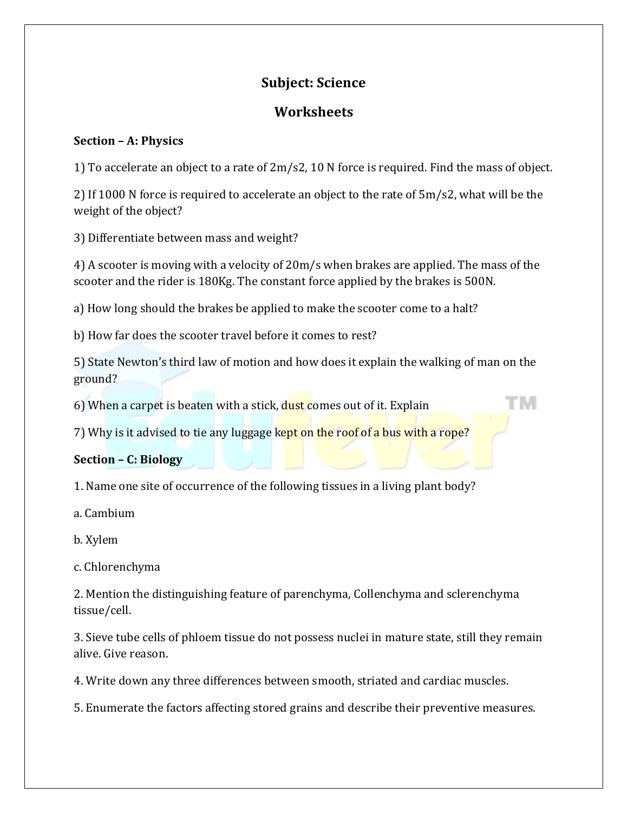## **Subject: Science**

## **Worksheets**

## **Section – A: Physics**

1) To accelerate an object to a rate of 2m/s2, 10 N force is required. Find the mass of object.

2) If 1000 N force is required to accelerate an object to the rate of 5m/s2, what will be the weight of the object?

3) Differentiate between mass and weight?

4) A scooter is moving with a velocity of 20m/s when brakes are applied. The mass of the scooter and the rider is 180Kg. The constant force applied by the brakes is 500N.

a) How long should the brakes be applied to make the scooter come to a halt?

b) How far does the scooter travel before it comes to rest?

5) State Newton's third law of motion and how does it explain the walking of man on the ground?

W

6) When a carpet is beaten with a stick, dust comes out of it. Explain

7) Why is it advised to tie any luggage kept on the roof of a bus with a rope?

## **Section – C: Biology**

1. Name one site of occurrence of the following tissues in a living plant body?

a. Cambium

b. Xylem

c. Chlorenchyma

2. Mention the distinguishing feature of parenchyma, Collenchyma and sclerenchyma tissue/cell.

3. Sieve tube cells of phloem tissue do not possess nuclei in mature state, still they remain alive. Give reason.

4. Write down any three differences between smooth, striated and cardiac muscles.

5. Enumerate the factors affecting stored grains and describe their preventive measures.